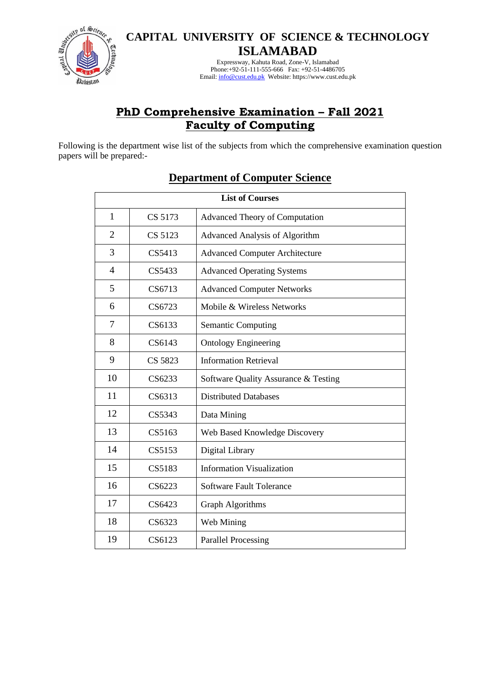

Dakistan

**CAPITAL UNIVERSITY OF SCIENCE & TECHNOLOGY ISLAMABAD**

> Expressway, Kahuta Road, Zone-V, Islamabad Phone:+92-51-111-555-666 Fax: +92-51-4486705 Email[: info@cust.edu.pk](mailto:info@cust.edu.pk) Website: https://www.cust.edu.pk

## **PhD Comprehensive Examination – Fall 2021 Faculty of Computing**

Following is the department wise list of the subjects from which the comprehensive examination question papers will be prepared:-

| <b>List of Courses</b> |         |                                       |  |
|------------------------|---------|---------------------------------------|--|
| $\mathbf{1}$           | CS 5173 | <b>Advanced Theory of Computation</b> |  |
| $\overline{2}$         | CS 5123 | <b>Advanced Analysis of Algorithm</b> |  |
| 3                      | CS5413  | <b>Advanced Computer Architecture</b> |  |
| $\overline{4}$         | CS5433  | <b>Advanced Operating Systems</b>     |  |
| 5                      | CS6713  | <b>Advanced Computer Networks</b>     |  |
| 6                      | CS6723  | Mobile & Wireless Networks            |  |
| 7                      | CS6133  | <b>Semantic Computing</b>             |  |
| 8                      | CS6143  | <b>Ontology Engineering</b>           |  |
| 9                      | CS 5823 | <b>Information Retrieval</b>          |  |
| 10                     | CS6233  | Software Quality Assurance & Testing  |  |
| 11                     | CS6313  | <b>Distributed Databases</b>          |  |
| 12                     | CS5343  | Data Mining                           |  |
| 13                     | CS5163  | Web Based Knowledge Discovery         |  |
| 14                     | CS5153  | Digital Library                       |  |
| 15                     | CS5183  | <b>Information Visualization</b>      |  |
| 16                     | CS6223  | <b>Software Fault Tolerance</b>       |  |
| 17                     | CS6423  | <b>Graph Algorithms</b>               |  |
| 18                     | CS6323  | Web Mining                            |  |
| 19                     | CS6123  | <b>Parallel Processing</b>            |  |

## **Department of Computer Science**